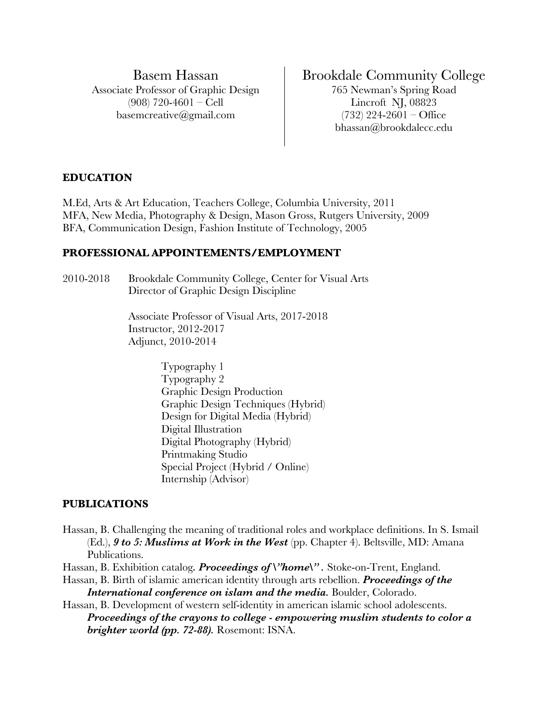Basem Hassan Associate Professor of Graphic Design (908) 720-4601 – Cell basemcreative@gmail.com

# Brookdale Community College

765 Newman's Spring Road Lincroft NJ, 08823  $(732)$  224-2601 – Office bhassan@brookdalecc.edu

#### **EDUCATION**

M.Ed, Arts & Art Education, Teachers College, Columbia University, 2011 MFA, New Media, Photography & Design, Mason Gross, Rutgers University, 2009 BFA, Communication Design, Fashion Institute of Technology, 2005

#### **PROFESSIONAL APPOINTEMENTS/EMPLOYMENT**

2010-2018 Brookdale Community College, Center for Visual Arts Director of Graphic Design Discipline

> Associate Professor of Visual Arts, 2017-2018 Instructor, 2012-2017 Adjunct, 2010-2014

> > Typography 1 Typography 2 Graphic Design Production Graphic Design Techniques (Hybrid) Design for Digital Media (Hybrid) Digital Illustration Digital Photography (Hybrid) Printmaking Studio Special Project (Hybrid / Online) Internship (Advisor)

#### **PUBLICATIONS**

Hassan, B. Challenging the meaning of traditional roles and workplace definitions. In S. Ismail (Ed.), *9 to 5: Muslims at Work in the West* (pp. Chapter 4). Beltsville, MD: Amana Publications.

Hassan, B. Exhibition catalog. *Proceedings of \"home\"*. Stoke-on-Trent, England.

- Hassan, B. Birth of islamic american identity through arts rebellion. *Proceedings of the International conference on islam and the media.* **Boulder, Colorado.**
- Hassan, B. Development of western self-identity in american islamic school adolescents. *Proceedings of the crayons to college - empowering muslim students to color a brighter world (pp. 72-88).* Rosemont: ISNA.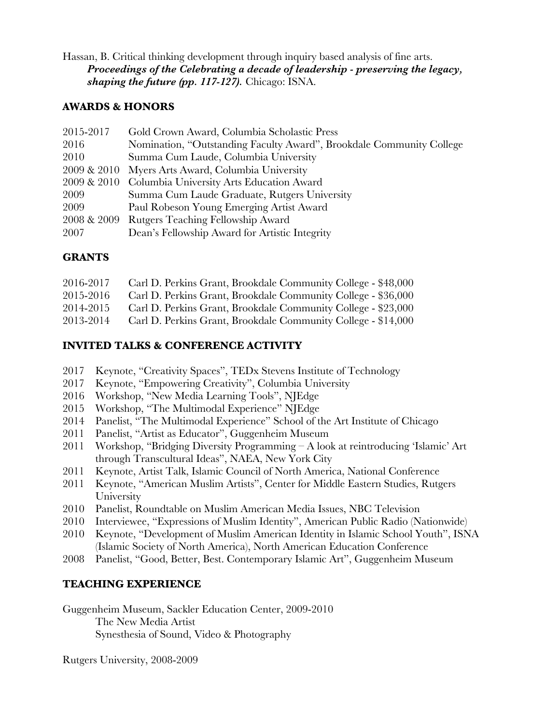Hassan, B. Critical thinking development through inquiry based analysis of fine arts. *Proceedings of the Celebrating a decade of leadership - preserving the legacy, shaping the future (pp. 117-127).* Chicago: ISNA.

### **AWARDS & HONORS**

| 2015-2017   | Gold Crown Award, Columbia Scholastic Press                          |
|-------------|----------------------------------------------------------------------|
| 2016        | Nomination, "Outstanding Faculty Award", Brookdale Community College |
| 2010        | Summa Cum Laude, Columbia University                                 |
|             | 2009 & 2010 Myers Arts Award, Columbia University                    |
|             | 2009 & 2010 Columbia University Arts Education Award                 |
| 2009        | Summa Cum Laude Graduate, Rutgers University                         |
| 2009        | Paul Robeson Young Emerging Artist Award                             |
| 2008 & 2009 | Rutgers Teaching Fellowship Award                                    |
| 2007        | Dean's Fellowship Award for Artistic Integrity                       |

### **GRANTS**

| 2016-2017 | Carl D. Perkins Grant, Brookdale Community College - \$48,000 |
|-----------|---------------------------------------------------------------|
| 2015-2016 | Carl D. Perkins Grant, Brookdale Community College - \$36,000 |
| 2014-2015 | Carl D. Perkins Grant, Brookdale Community College - \$23,000 |
| 2013-2014 | Carl D. Perkins Grant, Brookdale Community College - \$14,000 |

## **INVITED TALKS & CONFERENCE ACTIVITY**

- 2017 Keynote, "Creativity Spaces", TEDx Stevens Institute of Technology
- 2017 Keynote, "Empowering Creativity", Columbia University
- 2016 Workshop, "New Media Learning Tools", NJEdge
- 2015 Workshop, "The Multimodal Experience" NJEdge
- 2014 Panelist, "The Multimodal Experience" School of the Art Institute of Chicago
- 2011 Panelist, "Artist as Educator", Guggenheim Museum
- 2011 Workshop, "Bridging Diversity Programming A look at reintroducing 'Islamic' Art through Transcultural Ideas", NAEA, New York City
- 2011 Keynote, Artist Talk, Islamic Council of North America, National Conference
- 2011 Keynote, "American Muslim Artists", Center for Middle Eastern Studies, Rutgers **University**
- 2010 Panelist, Roundtable on Muslim American Media Issues, NBC Television
- 2010 Interviewee, "Expressions of Muslim Identity", American Public Radio (Nationwide)
- 2010 Keynote, "Development of Muslim American Identity in Islamic School Youth", ISNA (Islamic Society of North America), North American Education Conference
- 2008 Panelist, "Good, Better, Best. Contemporary Islamic Art", Guggenheim Museum

### **TEACHING EXPERIENCE**

Guggenheim Museum, Sackler Education Center, 2009-2010 The New Media Artist Synesthesia of Sound, Video & Photography

Rutgers University, 2008-2009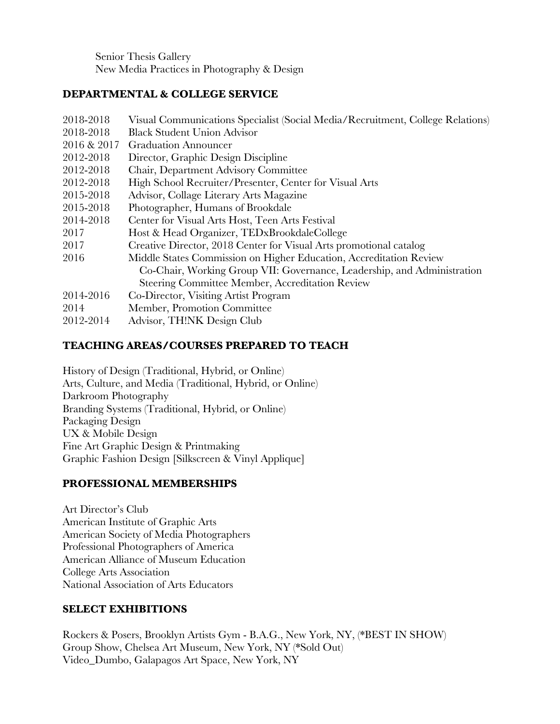Senior Thesis Gallery New Media Practices in Photography & Design

## **DEPARTMENTAL & COLLEGE SERVICE**

| 2018-2018   | Visual Communications Specialist (Social Media/Recruitment, College Relations) |
|-------------|--------------------------------------------------------------------------------|
| 2018-2018   | <b>Black Student Union Advisor</b>                                             |
| 2016 & 2017 | <b>Graduation Announcer</b>                                                    |
| 2012-2018   | Director, Graphic Design Discipline                                            |
| 2012-2018   | Chair, Department Advisory Committee                                           |
| 2012-2018   | High School Recruiter/Presenter, Center for Visual Arts                        |
| 2015-2018   | Advisor, Collage Literary Arts Magazine                                        |
| 2015-2018   | Photographer, Humans of Brookdale                                              |
| 2014-2018   | Center for Visual Arts Host, Teen Arts Festival                                |
| 2017        | Host & Head Organizer, TEDxBrookdaleCollege                                    |
| 2017        | Creative Director, 2018 Center for Visual Arts promotional catalog             |
| 2016        | Middle States Commission on Higher Education, Accreditation Review             |
|             | Co-Chair, Working Group VII: Governance, Leadership, and Administration        |
|             | Steering Committee Member, Accreditation Review                                |
| 2014-2016   | Co-Director, Visiting Artist Program                                           |
| 2014        | Member, Promotion Committee                                                    |
| 2012-2014   | Advisor, TH!NK Design Club                                                     |

## **TEACHING AREAS/COURSES PREPARED TO TEACH**

History of Design (Traditional, Hybrid, or Online) Arts, Culture, and Media (Traditional, Hybrid, or Online) Darkroom Photography Branding Systems (Traditional, Hybrid, or Online) Packaging Design UX & Mobile Design Fine Art Graphic Design & Printmaking Graphic Fashion Design [Silkscreen & Vinyl Applique]

# **PROFESSIONAL MEMBERSHIPS**

Art Director's Club American Institute of Graphic Arts American Society of Media Photographers Professional Photographers of America American Alliance of Museum Education College Arts Association National Association of Arts Educators

# **SELECT EXHIBITIONS**

Rockers & Posers, Brooklyn Artists Gym - B.A.G., New York, NY, (\*BEST IN SHOW) Group Show, Chelsea Art Museum, New York, NY (\*Sold Out) Video\_Dumbo, Galapagos Art Space, New York, NY